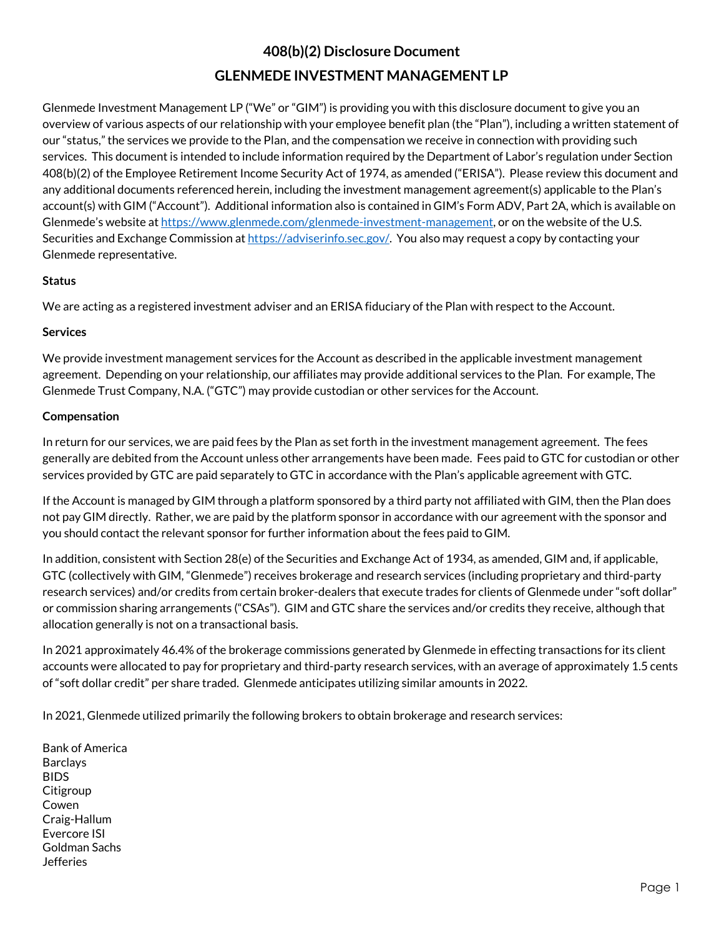# **408(b)(2) Disclosure Document GLENMEDE INVESTMENT MANAGEMENT LP**

Glenmede Investment Management LP ("We" or "GIM") is providing you with this disclosure document to give you an overview of various aspects of our relationship with your employee benefit plan (the "Plan"), including a written statement of our "status," the services we provide to the Plan, and the compensation we receive in connection with providing such services. This document is intended to include information required by the Department of Labor's regulation under Section 408(b)(2) of the Employee Retirement Income Security Act of 1974, as amended ("ERISA"). Please review this document and any additional documents referenced herein, including the investment management agreement(s) applicable to the Plan's account(s) with GIM ("Account"). Additional information also is contained in GIM's Form ADV, Part 2A, which is available on Glenmede's website a[t https://www.glenmede.com/glenmede-investment-management,](https://www.glenmede.com/glenmede-investment-management) or on the website of the U.S. Securities and Exchange Commission a[t https://adviserinfo.sec.gov/.](https://adviserinfo.sec.gov/) You also may request a copy by contacting your Glenmede representative.

# **Status**

We are acting as a registered investment adviser and an ERISA fiduciary of the Plan with respect to the Account.

## **Services**

We provide investment management services for the Account as described in the applicable investment management agreement. Depending on your relationship, our affiliates may provide additional services to the Plan. For example, The Glenmede Trust Company, N.A. ("GTC") may provide custodian or other services for the Account.

## **Compensation**

In return for our services, we are paid fees by the Plan as set forth in the investment management agreement. The fees generally are debited from the Account unless other arrangements have been made. Fees paid to GTC for custodian or other services provided by GTC are paid separately to GTC in accordance with the Plan's applicable agreement with GTC.

If the Account is managed by GIM through a platform sponsored by a third party not affiliated with GIM, then the Plan does not pay GIM directly. Rather, we are paid by the platform sponsor in accordance with our agreement with the sponsor and you should contact the relevant sponsor for further information about the fees paid to GIM.

In addition, consistent with Section 28(e) of the Securities and Exchange Act of 1934, as amended, GIM and, if applicable, GTC (collectively with GIM, "Glenmede") receives brokerage and research services (including proprietary and third-party research services) and/or credits from certain broker-dealers that execute trades for clients of Glenmede under "soft dollar" or commission sharing arrangements ("CSAs"). GIM and GTC share the services and/or credits they receive, although that allocation generally is not on a transactional basis.

In 2021 approximately 46.4% of the brokerage commissions generated by Glenmede in effecting transactions for its client accounts were allocated to pay for proprietary and third-party research services, with an average of approximately 1.5 cents of "soft dollar credit" per share traded. Glenmede anticipates utilizing similar amounts in 2022.

In 2021, Glenmede utilized primarily the following brokers to obtain brokerage and research services:

Bank of America Barclays BIDS Citigroup Cowen Craig-Hallum Evercore ISI Goldman Sachs Jefferies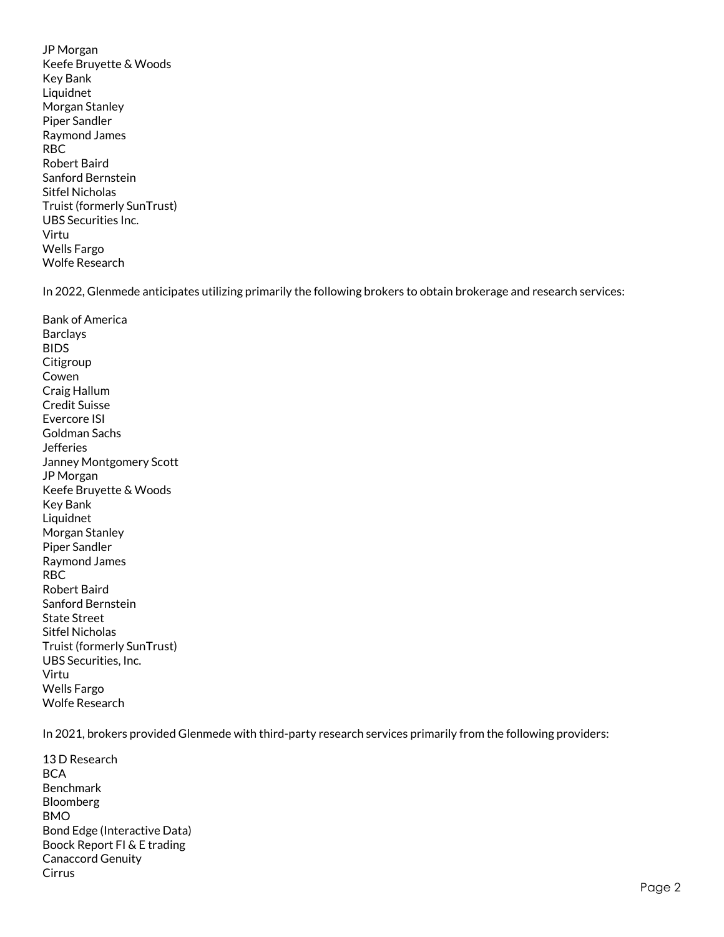JP Morgan Keefe Bruyette & Woods Key Bank Liquidnet Morgan Stanley Piper Sandler Raymond James RBC Robert Baird Sanford Bernstein Sitfel Nicholas Truist (formerly SunTrust) UBS Securities Inc. Virtu Wells Fargo Wolfe Research

In 2022, Glenmede anticipates utilizing primarily the following brokers to obtain brokerage and research services:

Bank of America **Barclavs** BIDS **Citigroup** Cowen Craig Hallum Credit Suisse Evercore ISI Goldman Sachs **Jefferies** Janney Montgomery Scott JP Morgan Keefe Bruyette & Woods Key Bank Liquidnet Morgan Stanley Piper Sandler Raymond James RBC Robert Baird Sanford Bernstein State Street Sitfel Nicholas Truist (formerly SunTrust) UBS Securities, Inc. Virtu Wells Fargo Wolfe Research

In 2021, brokers provided Glenmede with third-party research services primarily from the following providers:

13 D Research **BCA** Benchmark Bloomberg BMO Bond Edge (Interactive Data) Boock Report FI & E trading Canaccord Genuity Cirrus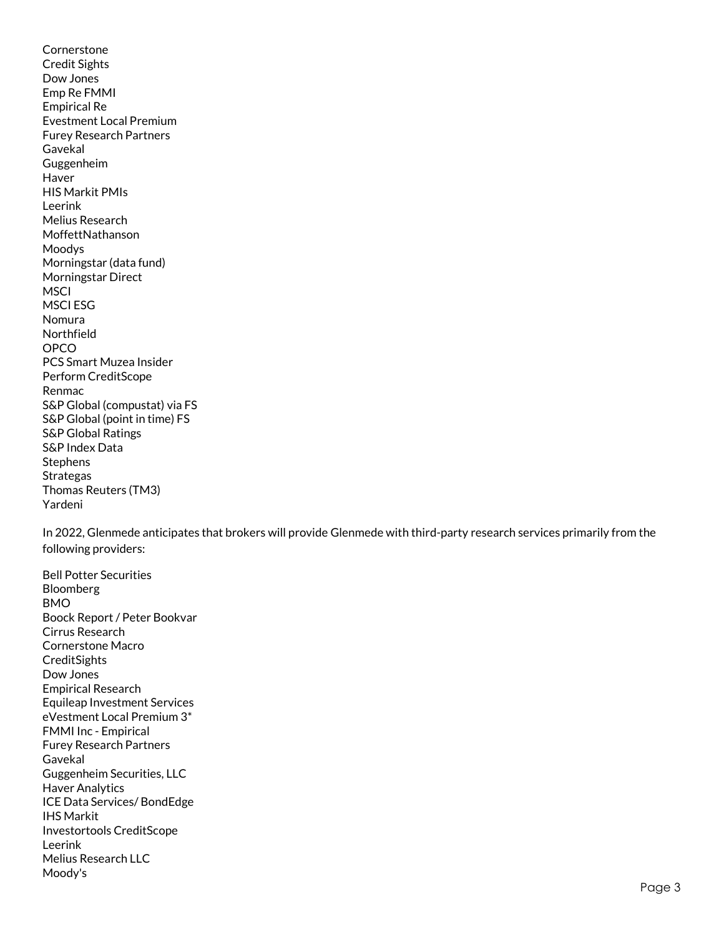Cornerstone Credit Sights Dow Jones Emp Re FMMI Empirical Re Evestment Local Premium Furey Research Partners Gavekal Guggenheim Haver HIS Markit PMIs Leerink Melius Research MoffettNathanson Moodys Morningstar (data fund) Morningstar Direct **MSCI** MSCI ESG Nomura Northfield OPCO PCS Smart Muzea Insider Perform CreditScope Renmac S&P Global (compustat) via FS S&P Global (point in time) FS S&P Global Ratings S&P Index Data Stephens Strategas Thomas Reuters (TM3) Yardeni

In 2022, Glenmede anticipates that brokers will provide Glenmede with third-party research services primarily from the following providers:

Bell Potter Securities Bloomberg BMO Boock Report / Peter Bookvar Cirrus Research Cornerstone Macro **CreditSights** Dow Jones Empirical Research Equileap Investment Services eVestment Local Premium 3\* FMMI Inc - Empirical Furey Research Partners Gavekal Guggenheim Securities, LLC Haver Analytics ICE Data Services/ BondEdge IHS Markit Investortools CreditScope Leerink Melius Research LLC Moody's